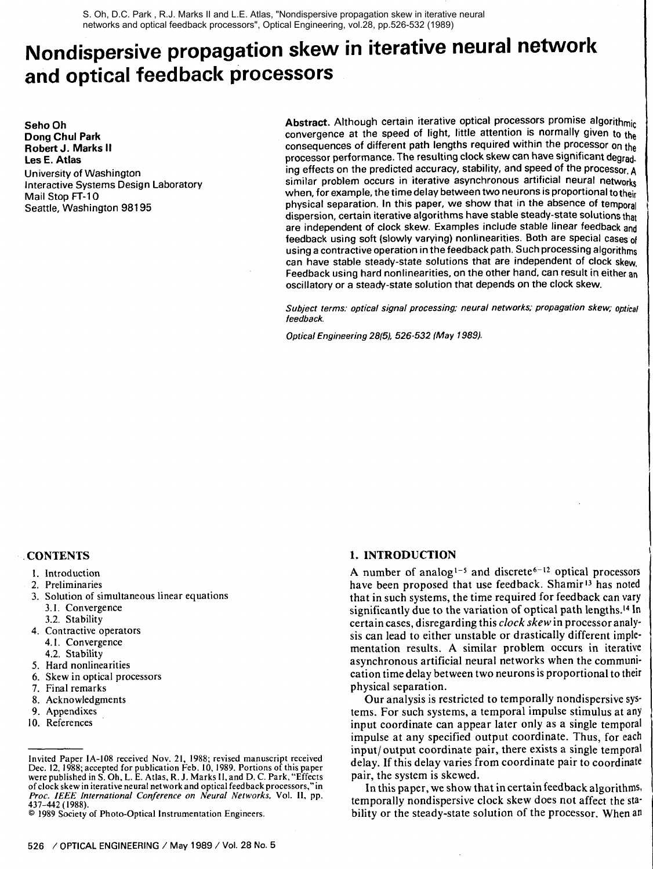S. Oh, D.C. Park , R.J. Marks II and L.E. Atlas, "Nondispersive propagation skew in iterative neural networks and optical feedback processors", Optical Engineering, vol.28, pp.526-532 (1989)

# **Nondispersive propagation skew in iterative neural network and optical feedback processors**

Seho Oh **Dong** Chul Park Robert **J.** Marks **II**  Les **E.** Atlas University of Washington Interactive Systems Design Laboratory Mail Stop **FT-10**  Seattle, Washington 981 95

Abstract. Although certain iterative optical processors promise algorithmic convergence at the speed of light, little attention is normally given to the consequences of different path lengths required within the processor on the processor performance. The resulting clock skew can have significant degrad. ing effects on the predicted accuracy, stability, and speed of the processor, **<sup>A</sup>** similar problem occurs in iterative asynchronous artificial neural networks when, for example, the time delay between two neurons is proportional to their physical separation. In this paper, we show that in the absence of temporal dispersion, certain iterative algorithms have stable steady-state solutions that are independent of clock skew. Examples include stable linear feedback **and**  feedback using soft (slowly varying) nonlinearities. Both are special cases **of**  using a contractive operation in the feedback path. Such processing algorithms can have stable steady-state solutions that are independent of clock skew. Feedback using hard nonlinearities, on the other hand, can result in either **an**  oscillatory or a steady-state solution that depends on the clock skew.

Subject terms: optical signal processing; neural networks; propagation skew; optical **feedback.** 

**Optical Engineering 2815)- 526-532 (May 19891.** 

#### **CONTENTS**

- 2. Preliminaries
- 3. Solution of simultaneous linear equations 3.1. Convergence
	- 3.2. Stability
- 4. Contractive operators
- 4.1. Convergence
- 4.2. Stability
- 5. Hard nonlinearities
- 6. Skew in optical processors
- 7. Final remarks
- 8. Acknowledgments
- 9. Appendixes
- 10. References

# **1. INTRODUCTION**

A number of analog<sup> $1-5$ </sup> and discrete<sup>6-12</sup> optical processors have been proposed that use feedback. Shamir<sup>13</sup> has noted that in such systems, the time required for feedback can vary significantly due to the variation of optical path lengths.<sup>14</sup> In certain cases, disregarding this *clock skew* in processor analysis can lead to either unstable or drastically different implementation results. **A** similar problem occurs in iterative asynchronous artificial neural networks when the communication time delay between two neurons is proportional to their physical separation.

1

Our analysis is restricted to temporally nondispersive systems. For such systems, a temporal impulse stimulus at any input coordinate can appear later only as a single temporal impulse at any specified output coordinate. Thus, for each input/ output coordinate pair, there exists a single temporal delay. If this delay varies from coordinate pair to coordinate pair, the system is skewed.

In this paper, we show that in certain feedback algorithms, temporally nondispersive clock skew does not affect the stability or the steady-state solution of the processor. When an

<sup>1.</sup> Introduction

Invited Paper IA-108 received Nov. 21, 1988; revised manuscript received Dec. 12, 1988; accepted for publication Feb. 10,1989. Portions of this paper were published in S. Oh, L. E. Atlas, R. J. Marks 11, and D. C. Park,"Effects of clock skew in iterative neural network and optical feedback processors,"in **Pror. IEEE International Conference on Neural Networks,** Vol. 11, pp. 437-442 ( 1988).

<sup>@</sup> 1989 Society of Photo-Optical Instrumentation Engineers.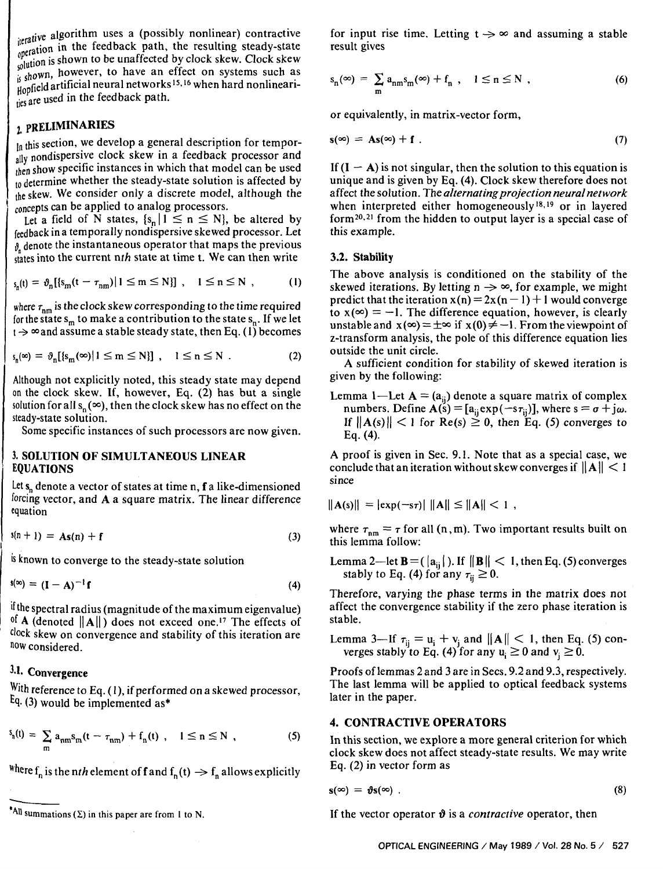iterative algorithm uses a (possibly nonlinear) contractive<br>operation in the feedback path, the resulting steady-state  $i<sub>g</sub>$  open is shown to be unaffected by clock skew. Clock skew.  $s_n$  is shown, however, to have an effect on systems such as B such a such a stificial neural networks <sup>15, 16</sup> when hard nonlineari- $\frac{1}{1005}$  are used in the feedback path.

# 2. PRELIMINARIES

 $\ln$ , this section, we develop a general description for temporally nondispersive clock skew in a feedback processor and then show specific instances in which that model can be used  $_{10}^{10}$  determine whether the steady-state solution is affected by the skew. We consider only a discrete model, although the concepts can be applied to analog processors.

Let a field of N states,  $\{s_n | 1 \le n \le N\}$ , be altered by feedback in a temporally nondispersive skewed processor. Let  $\delta$ , denote the instantaneous operator that maps the previous states into the current  $nth$  state at time t. We can then write

$$
\varsigma_n(t) = \vartheta_n[\{\varsigma_m(t - \tau_{nm}) | 1 \le m \le N\}], \quad 1 \le n \le N \quad , \tag{1}
$$

where  $\tau_{nm}$  is the clock skew corresponding to the time required for the state  $s_m$  to make a contribution to the state  $s_n$ . If we let  $t \rightarrow \infty$  and assume a stable steady state, then Eq. (1) becomes

$$
s_n(\infty) = \vartheta_n[\{s_m(\infty) | 1 \le m \le N\}], \quad 1 \le n \le N. \tag{2}
$$

Although not explicitly noted, this steady state may depend on the clock skew. If, however, Eq. (2) has but a single solution for all  $s_n(\infty)$ , then the clock skew has no effect on the steady-state solution.

Some specific instances of such processors are now given.

#### 3. SOLUTION OF SIMULTANEOUS LINEAR EQUATIONS

Let  $s_n$  denote a vector of states at time n, f a like-dimensioned forcing vector, and A a square matrix. The linear difference equation

$$
s(n + 1) = As(n) + f \tag{3}
$$

is known to converge to the steady-state solution

$$
s(\infty) = (I - A)^{-1} \mathbf{f} \tag{4}
$$

if the spectral radius (magnitude of the maximum eigenvalue) <sup>of</sup> A (denoted  $||A||$ ) does not exceed one.<sup>17</sup> The effects of clock skew on convergence and stability of this iteration are **now** considered.

# **3.1.** Convergence

With reference to Eq. (1), if performed on a skewed processor, **Eq.** (3) would be implemented as\*

$$
S_n(t) = \sum_m a_{nm} S_m(t - \tau_{nm}) + f_n(t) , \quad 1 \le n \le N , \qquad (5)
$$

where  $f_n$  is the nth element of f and  $f_n(t) \to f_n$  allows explicitly

for input rise time. Letting  $t \rightarrow \infty$  and assuming a stable result gives

$$
s_n(\infty) = \sum_m a_{nm} s_m(\infty) + f_n , \quad 1 \le n \le N , \qquad (6)
$$

or equivalently, in matrix-vector form,

$$
s(\infty) = As(\infty) + f \tag{7}
$$

If  $(I - A)$  is not singular, then the solution to this equation is unique and is given by Eq. (4). Clock skew therefore does not affect the solution. The *alternatingprojection neuralnetwork*  when interpreted either homogeneously<sup>18,19</sup> or in layered form $20,21$  from the hidden to output layer is a special case of this example.

#### 3.2. Stability

The above analysis is conditioned on the stability of the The above analysis is conditioned on the stability of the skewed iterations. By letting  $n \rightarrow \infty$ , for example, we might skewed iterations. By letting  $n \to \infty$ , for example, we might<br>predict that the iteration  $x(n) = 2x(n-1) + 1$  would converge predict that the iteration  $x(n) = 2x(n-1) + 1$  would converge<br>to  $x(\infty) = -1$ . The difference equation, however, is clearly unstable and  $x(\infty) = \pm \infty$  if  $x(0) \neq -1$ . From the viewpoint of z-transform analysis, the pole of this difference equation lies outside the unit circle.

A sufficient condition for stability of skewed iteration is given by the following:

Lemma 1-Let  $A = (a_{ii})$  denote a square matrix of complex numbers. Define  $A(s) = [a_{ii} exp(-s\tau_{ii})]$ , where  $s = \sigma + j\omega$ . If  $||A(s)|| < 1$  for  $Re(s) \ge 0$ , then Eq. (5) converges to Eq. (4).

**A** proof is given in Sec. 9.1. Note that as a special case, we conclude that an iteration without skew converges if  $||A|| < 1$ since

$$
\|\mathbf{A}(s)\| = |\exp(-s\tau)| \|\mathbf{A}\| \le \|\mathbf{A}\| < 1,
$$

where  $\tau_{nm} = \tau$  for all (n,m). Two important results built on this lemma follow:

Lemma 2—let  $\mathbf{B} = (|a_{ij}|)$ . If  $||\mathbf{B}|| < 1$ , then Eq. (5) converges stably to Eq. (4) for any  $\tau_{ii} \geq 0$ .

Therefore, varying the phase terms in the matrix does not affect the convergence stability if the zero phase iteration is stable.

Lemma 3—If  $\tau_{ii} = u_i + v_j$  and  $||A|| < 1$ , then Eq. (5) converges stably to Eq. (4) for any  $u_i \ge 0$  and  $v_i \ge 0$ .

Proofs of lemmas 2 and 3 are in Secs. 9.2 and 9.3, respectively. The last lemma will be applied to optical feedback systems later in the paper.

#### 4. CONTRACTIVE OPERATORS

In this section, we explore a more general criterion for which clock skew does not affect steady-state results. We may write Eq. (2) in vector form as

$$
s(\infty) = \vartheta s(\infty) \tag{8}
$$

If the vector operator  $\vartheta$  is a *contractive* operator, then

<sup>&</sup>lt;sup>\*</sup>All summations  $(\Sigma)$  in this paper are from 1 to N.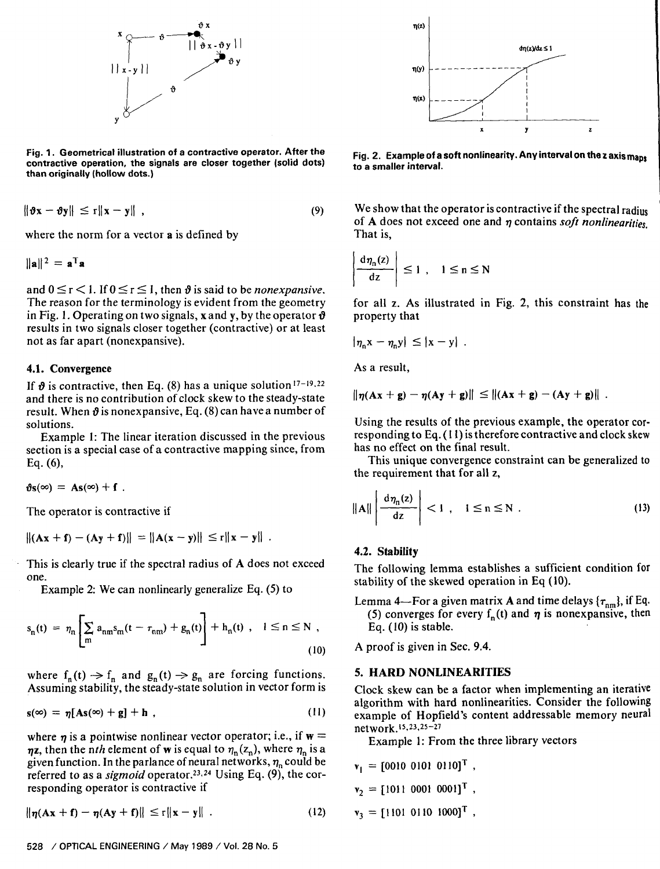

**Fig. 1. Geometrical illustration of a contractive operator. After the contractive operation, the signals are closer together (solid dots) than originally (hollow dots.)** 

$$
\|\boldsymbol{\vartheta}\mathbf{x}-\boldsymbol{\vartheta}\mathbf{y}\|\leq r\|\mathbf{x}-\mathbf{y}\|,\tag{9}
$$

where the norm for a vector **a** is defined by

$$
\|\mathbf{a}\|^2 = \mathbf{a}^T \mathbf{a}
$$

and  $0 \le r < 1$ . If  $0 \le r \le 1$ , then  $\vartheta$  is said to be *nonexpansive*. The reason for the terminology is evident from the geometry in Fig. 1. Operating on two signals, xand y, by the operator **9**  results in two signals closer together (contractive) or at least not as far apart (nonexpansive).

#### 4.1. Convergence

If  $\vartheta$  is contractive, then Eq. (8) has a unique solution<sup>17-19,22</sup> and there is no contribution of clock skew to the steady-state result. When  $\theta$  is nonexpansive, Eq. (8) can have a number of solutions.

Example 1: The linear iteration discussed in the previous section is a special case of a contractive mapping since, from Eq. (6),

 $\vartheta$ s(∞) = As(∞) + f.

The operator is contractive if

$$
||(Ax + f) - (Ay + f)|| = ||A(x - y)|| \le r||x - y||.
$$

This is clearly true if the spectral radius of **A** does not exceed one.

Example 2: We can nonlinearly generalize Eq. (5) to

$$
s_n(t) = \eta_n \left[ \sum_m a_{nm} s_m(t - \tau_{nm}) + g_n(t) \right] + h_n(t) , \quad 1 \le n \le N ,
$$
\n(10)

where  $f_n(t) \rightarrow f_n$  and  $g_n(t) \rightarrow g_n$  are forcing functions. Assuming stability, the steady-state solution in vector form is

$$
s(\infty) = \eta [As(\infty) + g] + h \tag{11}
$$

where  $\eta$  is a pointwise nonlinear vector operator; i.e., if  $w =$  $\eta$ **z**, then the nth element of **w** is equal to  $\eta_n(z_n)$ , where  $\eta_n$  is a given function. In the parlance of neural networks,  $\eta_n$  could be referred to as a *sigmoid* operator.<sup>23,24</sup> Using Eq. (9), the corresponding operator is contractive if

 $\|\eta(Ax + f) - \eta(Ay + f)\| \le r \|x - y\|$ .  $(12)$ 

**Fig. 2. Example of a soft nonlinearity. Any interval on thezaxismaps to a smaller interval.** 

We show that the operator is contractive if the spectral radius of **A** does not exceed one and *q* contains *soft n~nlinearitie~,*  That is,

$$
\left|\frac{d\eta_n(z)}{dz}\right| \le 1, \quad 1 \le n \le N
$$

for all z. As illustrated in Fig. 2, this constraint has the property that

$$
|\eta_n x - \eta_n y| \le |x - y|
$$

As a result,

 $\|\eta(Ax + g) - \eta(Ay + g)\| \leq \| (Ax + g) - (Ay + g) \|$ .

Using the results of the previous example, the operator corresponding to Eq. (1 **I)** is therefore contractive and clock skew has no effect on the final result.

This unique convergence constraint can be generalized to the requirement that for all **z,** 

$$
\|\mathbf{A}\| \left| \frac{d\eta_n(z)}{dz} \right| < 1 \ , \quad 1 \le n \le N \ . \tag{13}
$$

#### 4.2. Stability

The following lemma establishes a sufficient condition for stability of the skewed operation in Eq (10).

Lemma 4—For a given matrix A and time delays  $\{\tau_{nm}\}\$ , if Eq. (5) converges for every  $f_n(t)$  and  $\eta$  is nonexpansive, then Eq. (10) is stable.

A proof is given in Sec. 9.4.

#### **5. HARD NONLINEARITIES**

Clock skew can be a factor when implementing an iterative algorithm with hard nonlinearities. Consider the following example of Hopfield's content addressable memory neural network.<sup>15,23,25-27</sup>

Example 1: From the three library vectors

$$
\mathbf{v}_1 = [0010 \ 0101 \ 0110]^\mathrm{T} ,
$$
  
\n
$$
\mathbf{v}_2 = [1011 \ 0001 \ 0001]^\mathrm{T} ,
$$
  
\n
$$
\mathbf{v}_3 = [1101 \ 0110 \ 1000]^\mathrm{T} ,
$$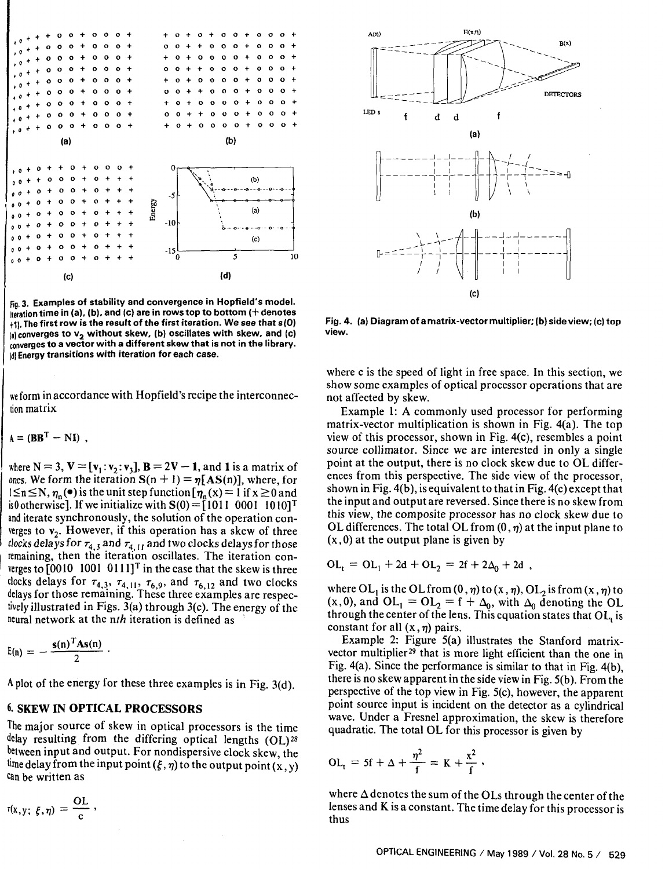

**Fig, 3. Examples of stability and convergence in Hopfield's model. iteration time in (a), (b). and (c) are in rows top to bottom (+denotes**  +I). **The first row is the result of the first iteration. We see that s(0)**  (a) converges to  $v_2$  without skew, (b) oscillates with skew, and (c) **converges to a vector with a different skew that is not in the library. id) Energy transitions with iteration for each case.** 

we form in accordance with Hopfield's recipe the interconnection matrix

 $A = (BB<sup>T</sup> - NI)$ .

where  $N = 3$ ,  $V = [v_1 : v_2 : v_3]$ ,  $B = 2V - 1$ , and 1 is a matrix of ones. We form the iteration  $S(n + 1) = \eta [AS(n)]$ , where, for  $1 \le n \le N$ ,  $\eta_n(\bullet)$  is the unit step function  $[\eta_n(x) = 1$  if  $x \ge 0$  and is0 otherwise]. If we initialize with  $S(0) = [1011 \ 0001 \ 1010]^{T}$ and iterate synchronously, the solution of the operation converges to  $v_2$ . However, if this operation has a skew of three clocks delays for  $\tau_4$ , and  $\tau_4$ , and two clocks delays for those remaining, then the iteration oscillates. The iteration converges to  $[0010 \ 1001 \ 0111]^T$  in the case that the skew is three clocks delays for  $\tau_{4,3}$ ,  $\tau_{4,11}$ ,  $\tau_{6,9}$ , and  $\tau_{6,12}$  and two clocks delays for those remaining. These three examples are respectively illustrated in Figs. 3(a) through 3(c). The energy of the neural network at the  $nth$  iteration is defined as

$$
E(n) = -\frac{s(n)^T As(n)}{2}
$$

I **A** plot of the energy for these three examples is in Fig. 3(d).

#### **6. SKEW IN OPTICAL PROCESSORS**

The major source of skew in optical processors is the time delay resulting from the differing optical lengths (OL)28 between input and output. For nondispersive clock skew, the time delay from the input point  $(\xi,\eta)$  to the output point  $(x, y)$ can be written as

$$
r(x,y; \xi, \eta) = \frac{OL}{c} ,
$$



**Fig. 4. (a) Diagram of a matrix-vector multiplier; (b) side view; (c) top view.** 

where c is the speed of light in free space. In this section, we show some examples of optical processor operations that are not affected by skew.

Example I: **A** commonly used processor for performing matrix-vector multiplication is shown in Fig. 4(a). The top view of this processor, shown in Fig. 4(c), resembles a point source collimator. Since we are interested in only a single point at the output, there is no clock skew due to OL differences from this perspective. The side view of the processor, shown in Fig.  $4(b)$ , is equivalent to that in Fig.  $4(c)$  except that the input and output are reversed. Since there is no skew from this view, the composite processor has no clock skew due to OL differences. The total OL from  $(0, \eta)$  at the input plane to  $(x, 0)$  at the output plane is given by

$$
OL_{t} = OL_{1} + 2d + OL_{2} = 2f + 2\Delta_{0} + 2d,
$$

where  $OL_1$  is the OL from  $(0, \eta)$  to  $(x, \eta)$ , OL<sub>2</sub> is from  $(x, \eta)$  to  $(x,0)$ , and  $OL_1 = OL_2 = f + \Delta_0$ , with  $\Delta_0$  denoting the OL through the center of the lens. This equation states that  $OL<sub>t</sub>$  is constant for all  $(x, \eta)$  pairs.

Example 2: Figure 5(a) illustrates the Stanford matrixvector multiplier<sup>29</sup> that is more light efficient than the one in Fig. 4(a). Since the performance is similar to that in Fig. **4(b),**  there is no skew apparent in the side view in Fig. **5(b).** From the perspective of the top view in Fig. 5(c), however, the apparent point source input is incident on the detector as a cylindrical wave. Under a Fresnel approximation, the skew is therefore quadratic. The total OL for this processor is given by

$$
OL_t = 5f + \Delta + \frac{\eta^2}{f} = K + \frac{x^2}{f}.
$$

where  $\Delta$  denotes the sum of the OLs through the center of the lenses and K is a constant. The time delay for this processor is thus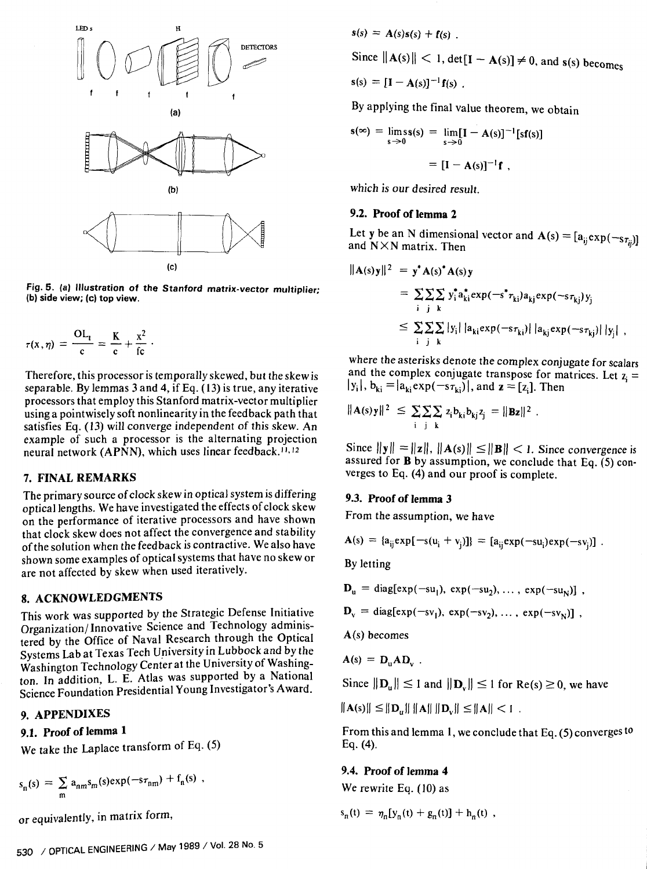

**Fig. 5. (a) Illustration of the Stanford matrix-vector multiplier; (b) side view; (c) top view.** 

$$
\tau(x,\eta) = \frac{\mathrm{OL}_{t}}{c} = \frac{K}{c} + \frac{x^2}{fc}.
$$

Therefore, this processor is temporally skewed, but the skew is separable. By lemmas 3 and 4, if Eq. (13) is true, any iterative processors that employ this Stanford matrix-vector multiplier using a pointwisely soft nonlinearity in the feedback path that satisfies Eq. (13) will converge independent of this skew. An example of such a processor is the alternating projection neural network (APNN), which uses linear feedback.<sup>11,12</sup>

#### 7. FINAL REMARKS

The primary source of clock skew in optical system is differing optical lengths. We have investigated the effects of clock skew on the performance of iterative processors and have shown that clock skew does not affect the convergence and stability of the solution when the feedback is contractive. We also have shown some examples of optical systems that have no skew or are not affected by skew when used iteratively.

## 8. ACKNOWLEDGMENTS

This work was supported by the Strategic Defense Initiative Organization/Innovative Science and Technology administered by the Office of Naval Research through the Optical Systems Lab at Texas Tech University in Lubbock and by the Washington Technology Center at the University of Washington. In addition, L. E. Atlas was supported by a National Science Foundation Presidential Young Investigator's Award.

## **9.** APPENDIXES

# **9.1.** Proof of **lemma** 1

We take the Laplace transform of Eq. (5)

$$
s_n(s) = \sum_m a_{nm} s_m(s) \exp(-s\tau_{nm}) + f_n(s) ,
$$

or equivalently, in matrix form,

$$
s(s) = A(s)s(s) + f(s)
$$

Since 
$$
||A(s)|| < 1
$$
, det[**I** - **A**(**s**)]  $\neq 0$ , and **s**(**s**) becomes

$$
\mathbf{s}(s) = [\mathbf{I} - \mathbf{A}(s)]^{-1} \mathbf{f}(s) .
$$

By applying the final value theorem, we obtain

$$
\mathbf{s}(\infty) = \lim_{s \to 0} \mathbf{s}(s) = \lim_{s \to 0} [\mathbf{I} - \mathbf{A}(s)]^{-1} [\mathbf{s} \mathbf{f}(s)]
$$

$$
= [\mathbf{I} - \mathbf{A}(s)]^{-1} \mathbf{f},
$$

which is our desired result.

#### **9.2.** Proof of **lemma 2**

Let y be an N dimensional vector and  $\mathbf{A}(s) = [a_{ij} \exp(-s_{\tau_{ij}})]$ and NXN matrix. Then

$$
\|\mathbf{A}(s)\mathbf{y}\|^2 = \mathbf{y}^* \mathbf{A}(s)^* \mathbf{A}(s)\mathbf{y}
$$
  
\n
$$
= \sum_i \sum_j \sum_j y_i^* a_{ki}^* \exp(-s^* r_{ki}) a_{kj} \exp(-s r_{kj}) y_j
$$
  
\n
$$
\leq \sum_i \sum_j \sum_j |y_i| |a_{ki} \exp(-s r_{ki})| |a_{kj} \exp(-s r_{kj})| |y_j|,
$$

where the asterisks denote the complex conjugate for scalars and the complex conjugate transpose for matrices. Let  $z_i =$  $|y_i|$ ,  $b_{ki} = |a_{ki}exp(-s_{\tau_{ki}})|$ , and  $z = [z_i]$ . Then

$$
\|A(s)y\|^2 \le \sum_{i} \sum_{j} \sum_{k} z_i b_{ki} b_{kj} z_j = \|Bz\|^2
$$

Since  $||y|| = ||z||$ ,  $||A(s)|| \le ||B|| < 1$ . Since convergence is assured for **B** by assumption, we conclude that Eq.  $(5)$  converges to Eq. (4) and our proof is complete.

#### **9.3.** Proof of **lemma 3**

From the assumption, we have

$$
A(s) = {a_{ij} \exp[-s(u_i + v_j)]} = [a_{ij} \exp(-su_j) \exp(-sv_j)].
$$

By letting

$$
\mathbf{D}_{\mathbf{u}} = \text{diag}[\exp(-\mathbf{su}_1), \exp(-\mathbf{su}_2), \dots, \exp(-\mathbf{su}_N)]
$$

 $D_v = diag(exp(-sv_1), exp(-sv_2), ..., exp(-sv_N)]$ ,

A(s) becomes

$$
\mathbf{A}(\mathbf{s}) = \mathbf{D}_{\mathbf{u}} \mathbf{A} \mathbf{D}_{\mathbf{v}}
$$

Since  $||\mathbf{D}_{\mathbf{u}}|| \leq 1$  and  $||\mathbf{D}_{\mathbf{v}}|| \leq 1$  for Re(s)  $\geq 0$ , we have

 $||A(s)|| \leq ||D_u|| ||A|| ||D_v|| \leq ||A|| < 1$ .

From this and lemma **1,** we conclude that Eq. (5) converges to Eq. (4).

#### **9.4.** Proof of **lemma 4**

We rewrite Eq. (10) as

$$
s_n(t) = \eta_n[y_n(t) + g_n(t)] + h_n(t) ,
$$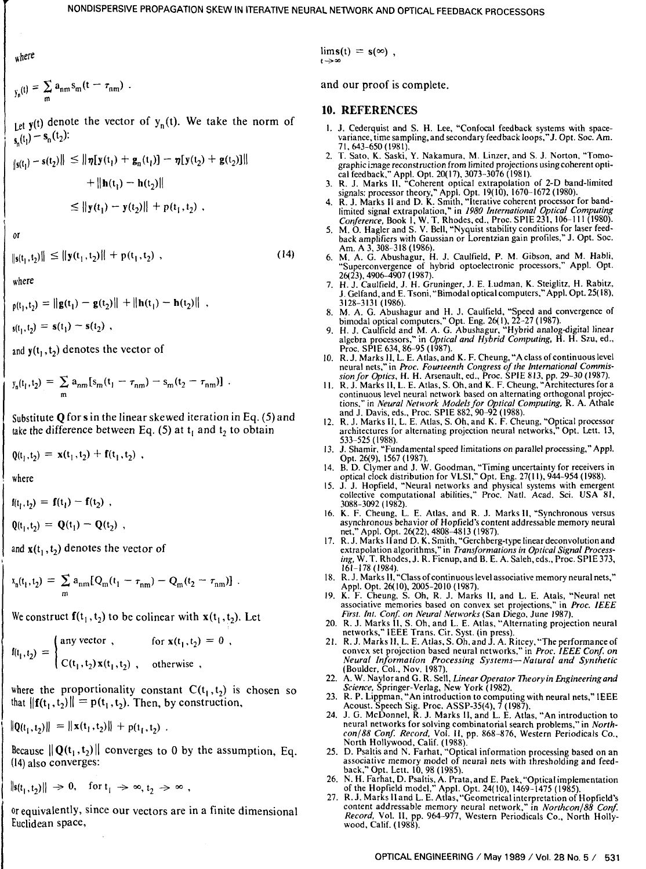NONDISPERSIVE PROPAGATION SKEW IN ITERATIVE NEURAL NETWORK AND OPTICAL FEEDBACK PROCESSORS<br> $\lim_{t\to\infty} s(t) = s(\infty) \,\, ,$ 

$$
y_n(t) = \sum_m a_{nm} s_m(t - \tau_{nm})
$$

Let  $y(t)$  denote the vector of  $y_n(t)$ . We take the norm of  $s_n(t_1) - s_n(t_2)$ :

$$
\|s(t_1) - s(t_2)\| \le \|\eta[y(t_1) + g_n(t_1)] - \eta[y(t_2) + g(t_2)]\|
$$
  
+ 
$$
\|\mathbf{h}(t_1) - \mathbf{h}(t_2)\|
$$
  

$$
\le \|\mathbf{y}(t_1) - \mathbf{y}(t_2)\| + p(t_1, t_2) ,
$$

 $\Omega$ <sup> $\Omega$ </sup>

 $||\mathbf{s}(t_1,t_2)|| \leq ||\mathbf{y}(t_1,t_2)|| + \mathbf{p}(t_1,t_2)$ ,  $(14)$ 

where

$$
p(t_1, t_2) = ||\mathbf{g}(t_1) - \mathbf{g}(t_2)|| + ||\mathbf{h}(t_1) - \mathbf{h}(t_2)||,
$$

 $s(t_1,t_2) = s(t_1) - s(t_2)$ ,

and  $y(t_1, t_2)$  denotes the vector of

$$
y_n(t_1,t_2) = \sum_m a_{nm} [s_m(t_1 - \tau_{nm}) - s_m(t_2 - \tau_{nm})].
$$

Substitute **Q** for **s** in the linear skewed iteration in Eq. (5) and take the difference between Eq. (5) at  $t_1$  and  $t_2$  to obtain

 $Q(t_1, t_2) = \mathbf{x}(t_1, t_2) + \mathbf{f}(t_1, t_2)$ ,

where

 $f(t_1, t_2) = f(t_1) - f(t_2)$ ,

$$
\mathbf{Q}(\mathbf{t}_1, \mathbf{t}_2) = \mathbf{Q}(\mathbf{t}_1) - \mathbf{Q}(\mathbf{t}_2) ,
$$

and  $\mathbf{x}(t_1, t_2)$  denotes the vector of

$$
x_n(t_1, t_2) = \sum_m a_{nm} [Q_m(t_1 - \tau_{nm}) - Q_m(t_2 - \tau_{nm})].
$$

We construct  $f(t_1, t_2)$  to be colinear with  $x(t_1, t_2)$ . Let

$$
f(t_1, t_2) = \begin{cases} \text{any vector}, & \text{for } x(t_1, t_2) = 0, \\ C(t_1, t_2) x(t_1, t_2), & \text{otherwise.} \end{cases}
$$

where the proportionality constant  $C(t_1, t_2)$  is chosen so that  $||{\bf f}(t_1, t_2)|| = {\bf p}(t_1, t_2)$ . Then, by construction,

$$
\|\mathbf{Q}(t_1,t_2)\| = \|\mathbf{x}(t_1,t_2)\| + p(t_1,t_2).
$$

Because  $\|\mathbf{Q}(t_1, t_2)\|$  converges to 0 by the assumption, Eq. (14) also converges:

$$
||s(t_1, t_2)|| \Rightarrow 0, \quad \text{for } t_1 \Rightarrow \infty, t_2 \Rightarrow \infty,
$$

or equivalently, since our vectors are in a finite dimensional Euclidean space,

and our proof is complete.

#### **10. REFERENCES**

- 1. J. Cederquist and S. H. Lee, "Confocal feedback systems with space-variance, time sampling, and secondary feedback loops," J. Opt. Soc. Am. 71,643-650 (1981).
- 2. **T.** Sato. K. Saski, Y. Nakamura, M. Linzer, and S. J. Norton, "Tomographic image reconstruction from limited projections usingcoherent optical feedback," Appl. Opt. 20(17), 3073-3076 (198 1).
- 3. R. J. Marks II, "Coherent optical extrapolation of 2-D band-limited signals: processor theory," Appl. Opt. 19(10), 1670-1672 (1980).
- 4. R. J. Marks I1 and D. K. Smith, "Iterative coherent processor for bandlimited signal extrapolation," in 1980 International Optical Computing
- Conference, Book 1, W. T. Rhodes, ed., Proc. SPIE 231, 106-111 (1980).<br>5. M. O. Hagler and S. V. Bell, "Nyquist stability conditions for laser feedback amplifiers with Gaussian or Lorentzian gain profiles," J. Opt. Soc. Am. A 3; 308-318 (1986).
- 6. M. A. G. Abushagur, H. J. Caulfield, P. M. Gibson, and M. Habli, "Superconvergence of hybrid optoelectronic processors," Appl. Opt. 26(23), 4906-4907 (1987).
- 7. H. J. Caulfield, J. H. Gruninger, J. E. Ludman, K. Steiglitz, H. Rabitz, J. Gelfand, and E. Tsoni, "Bimodal optical computers," Appl. Opt. 25(18), 3128-3131 (1986).
- 8. M. A. G. Abushagur and H. J. Caulfield, "Speed and convergence of bimodal optical computers," Opt. Eng. 26(1), 22-27 (1987).<br>9. H. J. Caulfield and M. A. G. Abushagur, "Hybrid analog-digital linear
- algebra processors," in *Optical and Hybrid Computing*, H. H. Szu, ed.,
- Proc. SPlE 634.86-95 (1987). 10. R. J. Marks 11. L. E. Atlas,and K. F. Cheung, "Aclass of continuous level neural nets," in Proc. Fourteenth Congress of the International Commis-
- sion for Optics, H. H. Arsenault, ed., Proc. SPIE 813, pp. 29–30 (1987).<br>11. R. J. Marks II, L. E. Atlas, S. Oh, and K. F. Cheung, "Architectures for a continuous level neural network based on alternating orthogonal projec tions," in *Neural Network Models for Optical Computing, R. A.* Athale and J. Davis, eds., Proc. SPIE 882, 90–92 (1988).
- 12. R. J. Marks 11, L. E. Atlas, S. Oh,and K. F. Cheung. "Optical processor architectures for alternating projection neural networks," Opt. Lett. 13, 533-525 (1988).
- 13. J. Shamir. "Fundamental speed limitations on parallel processing," Appl. Opt. 26(9), 1567 (1987).
- 14. B. D. Clymer and J. W. Goodman, "Timing uncertainty for receivers in optical clock distribution for VLSI," Opt. Eng. 27(1 I), 944-954 (1988).
- 15. J. J. Hopfield, "Neural networks and physical systems with emergent collective computational abilities," Proc. Natl. Acad. Sci. USA 81, 3088-3092 (1982).<br>16. K. F. Cheung, L. E. Atlas, and R. J. Marks II, "Synchronous versus
- asynchronous behavior of Hopfield's content addressable memory neural<br>net." Appl. Opt. 26(22). 4808-4813 (1987). net also contained to the 1987 of Appl. Opt. 26(22), 4808-4813 (1987).
- 17. R. J. Marks I1 and D. K. Smith,"Gerchberg-type lineardeconvolutionand extrapolation algorithms," in Transformations in Optical Signal Processing, W. T. Rhodes, J. R. Fienup, and B. E. A. Saleh,eds., Proc. SPlE 373, 161-178 (1984).
- 18. R. J. Marks 11, "Class of continuous level associative memory neural nets," Appl. Opt. 2q10). 2005-2010 (1987).
- 19. K. F. Cheung, S. Oh, R. J. Marks 11, and L. E. Atals, "Neural net associative memories based on convex set projections," in Proc. IEEE First. Int. Conf. on Neural Networks (San Diego, June 1987).
- 20. R. J. Marks II, S. Oh, and L. E. Atlas, "Alternating projection neural
- networks," IEEE Trans. Cir. Syst. (in press).<br>21. R. J. Marks II, L. E. Atlas, S. Oh, and J. A. Ritcey, "The performance of<br>convex set projection based neural networks," in *Proc. IEEE Conf. on*<br>*Neural Information Process* Neural Information Processing Systems-Natural and Synthetic (Boulder, Col., Nov. 1987).
- 22. A. W. Naylorand **G.** R. Sell, Linear Operator Theoryin Engineeringand Science, Springer-Verlag, New York (1982).
- 23. R. P. Lippman, "An introduction to computing with neural nets," IEEE Acoust. Speech Sig. Proc. ASSP-35(4), 7 (1987).
- 24. J. G. McDonnel, R. J. Marks 11, and L. E. Atlas, "An introduction to neural networks for solving combinatorial search problems," in Northcon/88 Conf. Record, Vol. II, pp. 868-876, Western Periodicals Co., North Hollywood, Calif. (1988).<br>25. D. Psaltis and N. Farhat, "Optical information processing based on an
- 25. D. Psaltis and N. Farhat, "Optical information processing based on an associative memory model of neural nets with thresholding and feed-back," Opt. Lett. 10.98 (1985).
- 26. N. H. Farhat, D. Psaltis, A. Prata,and E. **Paek,"Opticalimplementation**  of the Hopfield model," Appl. Opt. 24(10), 1469-1475 (1985).
- 27. R. J. Marks II and L. E. Atlas, "Geometrical interpretation of Hopfield's content addressable memory neural network," in *Northcon*/88 Conf. Record. Vol. 11, pp. 964-977, Western Periodicals Co., North Holly-wood, Calif. (1988).